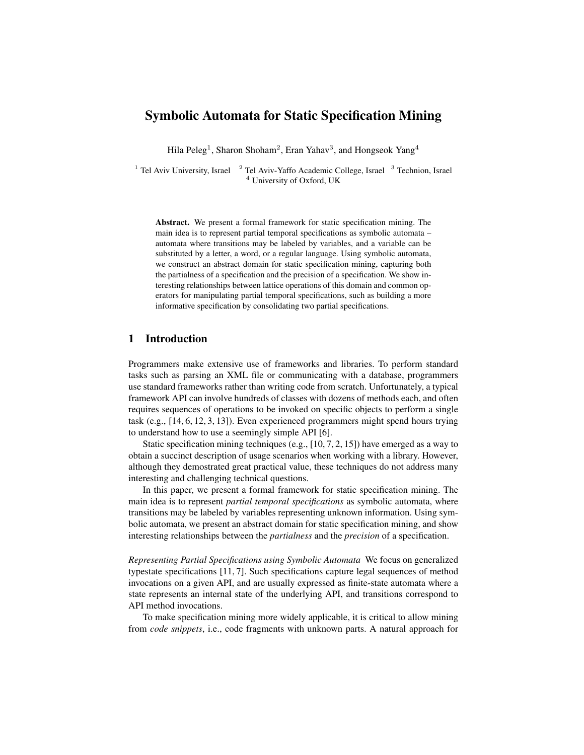# Symbolic Automata for Static Specification Mining

Hila Peleg<sup>1</sup>, Sharon Shoham<sup>2</sup>, Eran Yahav<sup>3</sup>, and Hongseok Yang<sup>4</sup>

<sup>1</sup> Tel Aviv University, Israel  $\frac{2}{}$  Tel Aviv-Yaffo Academic College, Israel  $\frac{3}{}$  Technion, Israel <sup>4</sup> University of Oxford, UK

Abstract. We present a formal framework for static specification mining. The main idea is to represent partial temporal specifications as symbolic automata – automata where transitions may be labeled by variables, and a variable can be substituted by a letter, a word, or a regular language. Using symbolic automata, we construct an abstract domain for static specification mining, capturing both the partialness of a specification and the precision of a specification. We show interesting relationships between lattice operations of this domain and common operators for manipulating partial temporal specifications, such as building a more informative specification by consolidating two partial specifications.

## 1 Introduction

Programmers make extensive use of frameworks and libraries. To perform standard tasks such as parsing an XML file or communicating with a database, programmers use standard frameworks rather than writing code from scratch. Unfortunately, a typical framework API can involve hundreds of classes with dozens of methods each, and often requires sequences of operations to be invoked on specific objects to perform a single task (e.g., [14, 6, 12, 3, 13]). Even experienced programmers might spend hours trying to understand how to use a seemingly simple API [6].

Static specification mining techniques (e.g., [10, 7, 2, 15]) have emerged as a way to obtain a succinct description of usage scenarios when working with a library. However, although they demostrated great practical value, these techniques do not address many interesting and challenging technical questions.

In this paper, we present a formal framework for static specification mining. The main idea is to represent *partial temporal specifications* as symbolic automata, where transitions may be labeled by variables representing unknown information. Using symbolic automata, we present an abstract domain for static specification mining, and show interesting relationships between the *partialness* and the *precision* of a specification.

*Representing Partial Specifications using Symbolic Automata* We focus on generalized typestate specifications [11, 7]. Such specifications capture legal sequences of method invocations on a given API, and are usually expressed as finite-state automata where a state represents an internal state of the underlying API, and transitions correspond to API method invocations.

To make specification mining more widely applicable, it is critical to allow mining from *code snippets*, i.e., code fragments with unknown parts. A natural approach for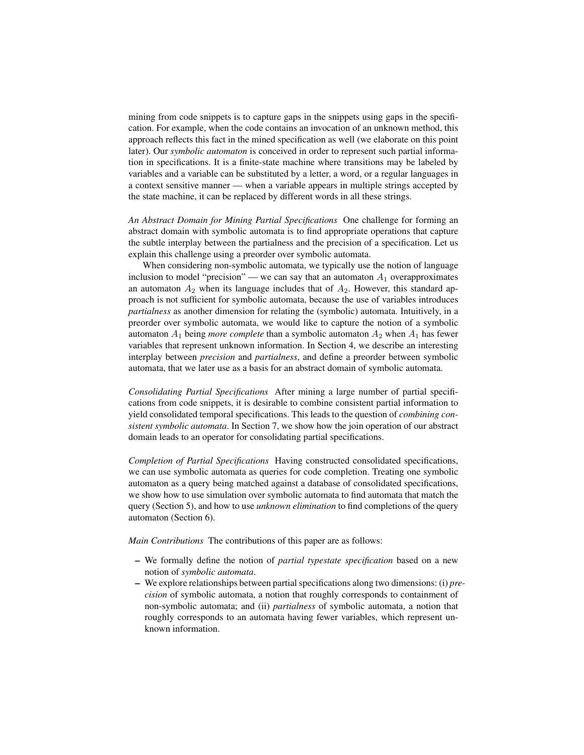mining from code snippets is to capture gaps in the snippets using gaps in the specification. For example, when the code contains an invocation of an unknown method, this approach reflects this fact in the mined specification as well (we elaborate on this point later). Our *symbolic automaton* is conceived in order to represent such partial information in specifications. It is a finite-state machine where transitions may be labeled by variables and a variable can be substituted by a letter, a word, or a regular languages in a context sensitive manner — when a variable appears in multiple strings accepted by the state machine, it can be replaced by different words in all these strings.

*An Abstract Domain for Mining Partial Specifications* One challenge for forming an abstract domain with symbolic automata is to find appropriate operations that capture the subtle interplay between the partialness and the precision of a specification. Let us explain this challenge using a preorder over symbolic automata.

When considering non-symbolic automata, we typically use the notion of language inclusion to model "precision" — we can say that an automaton  $A_1$  overapproximates an automaton  $A_2$  when its language includes that of  $A_2$ . However, this standard approach is not sufficient for symbolic automata, because the use of variables introduces *partialness* as another dimension for relating the (symbolic) automata. Intuitively, in a preorder over symbolic automata, we would like to capture the notion of a symbolic automaton  $A_1$  being *more complete* than a symbolic automaton  $A_2$  when  $A_1$  has fewer variables that represent unknown information. In Section 4, we describe an interesting interplay between *precision* and *partialness*, and define a preorder between symbolic automata, that we later use as a basis for an abstract domain of symbolic automata.

*Consolidating Partial Specifications* After mining a large number of partial specifications from code snippets, it is desirable to combine consistent partial information to yield consolidated temporal specifications. This leads to the question of *combining consistent symbolic automata*. In Section 7, we show how the join operation of our abstract domain leads to an operator for consolidating partial specifications.

*Completion of Partial Specifications* Having constructed consolidated specifications, we can use symbolic automata as queries for code completion. Treating one symbolic automaton as a query being matched against a database of consolidated specifications, we show how to use simulation over symbolic automata to find automata that match the query (Section 5), and how to use *unknown elimination* to find completions of the query automaton (Section 6).

*Main Contributions* The contributions of this paper are as follows:

- We formally define the notion of *partial typestate specification* based on a new notion of *symbolic automata*.
- We explore relationships between partial specifications along two dimensions: (i) *precision* of symbolic automata, a notion that roughly corresponds to containment of non-symbolic automata; and (ii) *partialness* of symbolic automata, a notion that roughly corresponds to an automata having fewer variables, which represent unknown information.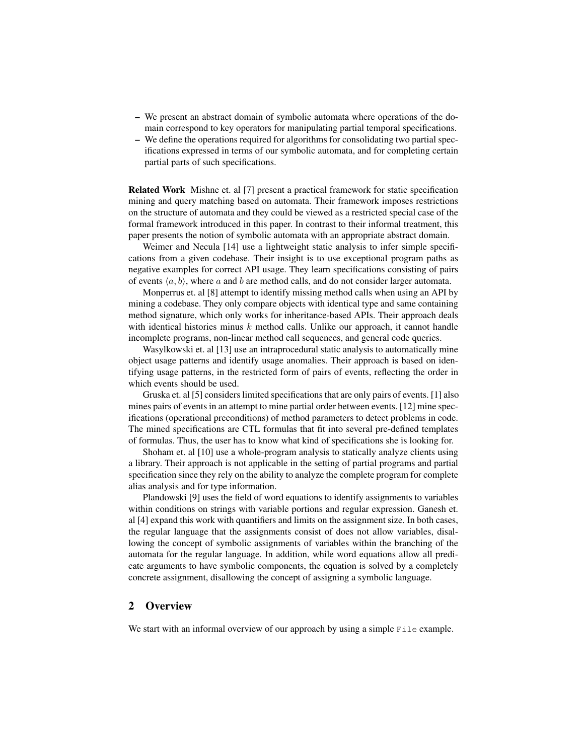- We present an abstract domain of symbolic automata where operations of the domain correspond to key operators for manipulating partial temporal specifications.
- We define the operations required for algorithms for consolidating two partial specifications expressed in terms of our symbolic automata, and for completing certain partial parts of such specifications.

Related Work Mishne et. al [7] present a practical framework for static specification mining and query matching based on automata. Their framework imposes restrictions on the structure of automata and they could be viewed as a restricted special case of the formal framework introduced in this paper. In contrast to their informal treatment, this paper presents the notion of symbolic automata with an appropriate abstract domain.

Weimer and Necula [14] use a lightweight static analysis to infer simple specifications from a given codebase. Their insight is to use exceptional program paths as negative examples for correct API usage. They learn specifications consisting of pairs of events  $\langle a, b \rangle$ , where a and b are method calls, and do not consider larger automata.

Monperrus et. al [8] attempt to identify missing method calls when using an API by mining a codebase. They only compare objects with identical type and same containing method signature, which only works for inheritance-based APIs. Their approach deals with identical histories minus  $k$  method calls. Unlike our approach, it cannot handle incomplete programs, non-linear method call sequences, and general code queries.

Wasylkowski et. al [13] use an intraprocedural static analysis to automatically mine object usage patterns and identify usage anomalies. Their approach is based on identifying usage patterns, in the restricted form of pairs of events, reflecting the order in which events should be used.

Gruska et. al [5] considers limited specifications that are only pairs of events. [1] also mines pairs of events in an attempt to mine partial order between events. [12] mine specifications (operational preconditions) of method parameters to detect problems in code. The mined specifications are CTL formulas that fit into several pre-defined templates of formulas. Thus, the user has to know what kind of specifications she is looking for.

Shoham et. al [10] use a whole-program analysis to statically analyze clients using a library. Their approach is not applicable in the setting of partial programs and partial specification since they rely on the ability to analyze the complete program for complete alias analysis and for type information.

Plandowski [9] uses the field of word equations to identify assignments to variables within conditions on strings with variable portions and regular expression. Ganesh et. al [4] expand this work with quantifiers and limits on the assignment size. In both cases, the regular language that the assignments consist of does not allow variables, disallowing the concept of symbolic assignments of variables within the branching of the automata for the regular language. In addition, while word equations allow all predicate arguments to have symbolic components, the equation is solved by a completely concrete assignment, disallowing the concept of assigning a symbolic language.

### 2 Overview

We start with an informal overview of our approach by using a simple  $\text{File example}$ .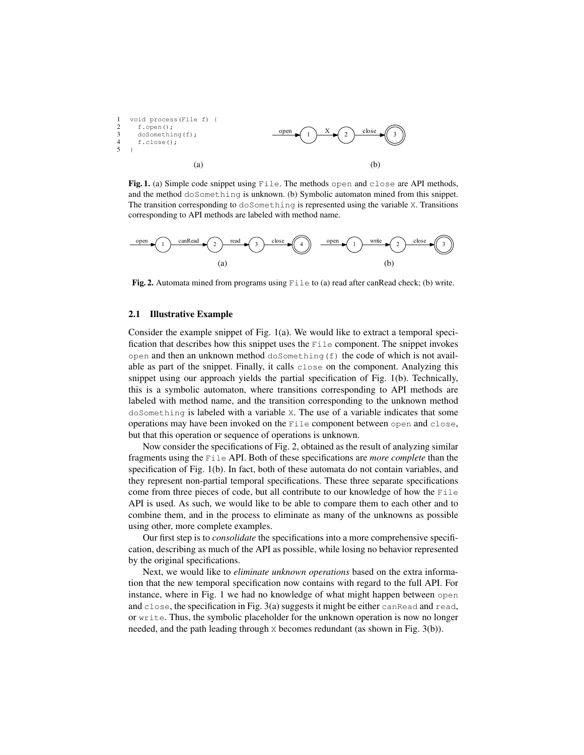

Fig. 1. (a) Simple code snippet using File. The methods open and close are API methods, and the method doSomething is unknown. (b) Symbolic automaton mined from this snippet. The transition corresponding to doSomething is represented using the variable X. Transitions corresponding to API methods are labeled with method name.



Fig. 2. Automata mined from programs using File to (a) read after canRead check; (b) write.

#### 2.1 Illustrative Example

Consider the example snippet of Fig. 1(a). We would like to extract a temporal specification that describes how this snippet uses the File component. The snippet invokes open and then an unknown method doSomething(f) the code of which is not available as part of the snippet. Finally, it calls close on the component. Analyzing this snippet using our approach yields the partial specification of Fig. 1(b). Technically, this is a symbolic automaton, where transitions corresponding to API methods are labeled with method name, and the transition corresponding to the unknown method doSomething is labeled with a variable X. The use of a variable indicates that some operations may have been invoked on the File component between open and close, but that this operation or sequence of operations is unknown.

Now consider the specifications of Fig. 2, obtained as the result of analyzing similar fragments using the File API. Both of these specifications are *more complete* than the specification of Fig. 1(b). In fact, both of these automata do not contain variables, and they represent non-partial temporal specifications. These three separate specifications come from three pieces of code, but all contribute to our knowledge of how the File API is used. As such, we would like to be able to compare them to each other and to combine them, and in the process to eliminate as many of the unknowns as possible using other, more complete examples.

Our first step is to *consolidate* the specifications into a more comprehensive specification, describing as much of the API as possible, while losing no behavior represented by the original specifications.

Next, we would like to *eliminate unknown operations* based on the extra information that the new temporal specification now contains with regard to the full API. For instance, where in Fig. 1 we had no knowledge of what might happen between open and close, the specification in Fig. 3(a) suggests it might be either canRead and read, or write. Thus, the symbolic placeholder for the unknown operation is now no longer needed, and the path leading through  $X$  becomes redundant (as shown in Fig. 3(b)).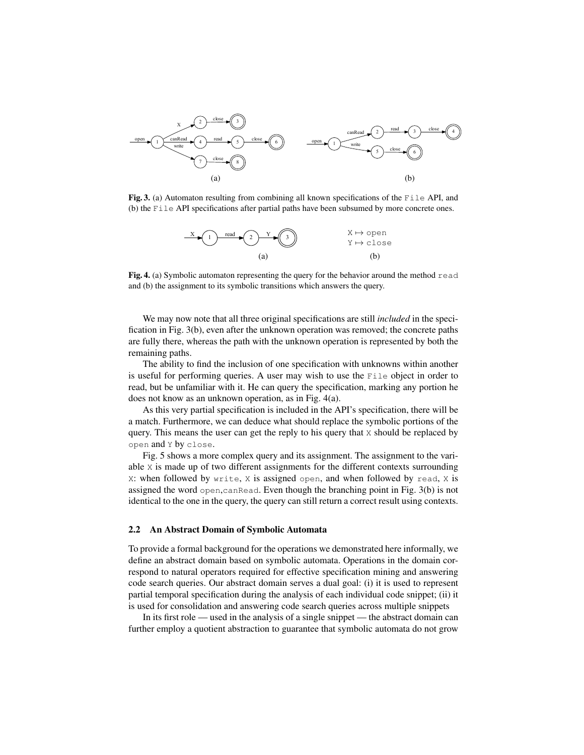

Fig. 3. (a) Automaton resulting from combining all known specifications of the File API, and (b) the File API specifications after partial paths have been subsumed by more concrete ones.



Fig. 4. (a) Symbolic automaton representing the query for the behavior around the method read and (b) the assignment to its symbolic transitions which answers the query.

We may now note that all three original specifications are still *included* in the specification in Fig. 3(b), even after the unknown operation was removed; the concrete paths are fully there, whereas the path with the unknown operation is represented by both the remaining paths.

The ability to find the inclusion of one specification with unknowns within another is useful for performing queries. A user may wish to use the File object in order to read, but be unfamiliar with it. He can query the specification, marking any portion he does not know as an unknown operation, as in Fig. 4(a).

As this very partial specification is included in the API's specification, there will be a match. Furthermore, we can deduce what should replace the symbolic portions of the query. This means the user can get the reply to his query that X should be replaced by open and Y by close.

Fig. 5 shows a more complex query and its assignment. The assignment to the variable X is made up of two different assignments for the different contexts surrounding X: when followed by  $write$ ,  $X$  is assigned open, and when followed by read,  $X$  is assigned the word open,canRead. Even though the branching point in Fig. 3(b) is not identical to the one in the query, the query can still return a correct result using contexts.

#### 2.2 An Abstract Domain of Symbolic Automata

To provide a formal background for the operations we demonstrated here informally, we define an abstract domain based on symbolic automata. Operations in the domain correspond to natural operators required for effective specification mining and answering code search queries. Our abstract domain serves a dual goal: (i) it is used to represent partial temporal specification during the analysis of each individual code snippet; (ii) it is used for consolidation and answering code search queries across multiple snippets

In its first role — used in the analysis of a single snippet — the abstract domain can further employ a quotient abstraction to guarantee that symbolic automata do not grow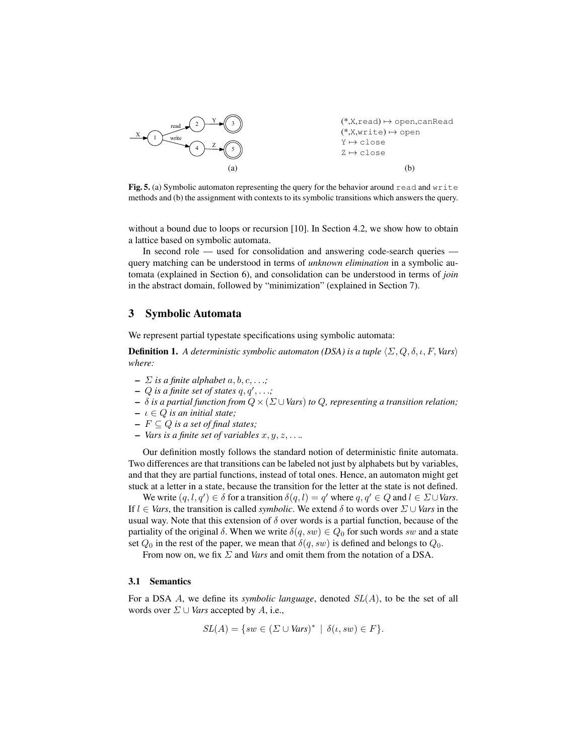

Fig. 5. (a) Symbolic automaton representing the query for the behavior around read and write methods and (b) the assignment with contexts to its symbolic transitions which answers the query.

without a bound due to loops or recursion [10]. In Section 4.2, we show how to obtain a lattice based on symbolic automata.

In second role — used for consolidation and answering code-search queries query matching can be understood in terms of *unknown elimination* in a symbolic automata (explained in Section 6), and consolidation can be understood in terms of *join* in the abstract domain, followed by "minimization" (explained in Section 7).

### 3 Symbolic Automata

We represent partial typestate specifications using symbolic automata:

**Definition 1.** *A deterministic symbolic automaton (DSA) is a tuple*  $\langle \Sigma, Q, \delta, \iota, F, Vars \rangle$ *where:*

- $\overline{\phantom{a}}$   $\sum$  *is a finite alphabet a, b, c, ...;*
- $-Q$  *is a finite set of states*  $q, q', \ldots;$
- δ *is a partial function from* Q×(Σ ∪*Vars*) *to* Q*, representing a transition relation;*
- $\iota \in Q$  *is an initial state*;
- $F \subseteq Q$  *is a set of final states;*
- $\blacksquare$  *Vars is a finite set of variables*  $x, y, z, \ldots$

Our definition mostly follows the standard notion of deterministic finite automata. Two differences are that transitions can be labeled not just by alphabets but by variables, and that they are partial functions, instead of total ones. Hence, an automaton might get stuck at a letter in a state, because the transition for the letter at the state is not defined.

We write  $(q, l, q') \in \delta$  for a transition  $\delta(q, l) = q'$  where  $q, q' \in Q$  and  $l \in \Sigma \cup Vars$ . If  $l \in Vars$ , the transition is called *symbolic*. We extend  $\delta$  to words over  $\Sigma \cup Vars$  in the usual way. Note that this extension of  $\delta$  over words is a partial function, because of the partiality of the original  $\delta$ . When we write  $\delta(q, sw) \in Q_0$  for such words sw and a state set  $Q_0$  in the rest of the paper, we mean that  $\delta(q, sw)$  is defined and belongs to  $Q_0$ .

From now on, we fix Σ and *Vars* and omit them from the notation of a DSA.

#### 3.1 Semantics

For a DSA A, we define its *symbolic language*, denoted SL(A), to be the set of all words over  $\Sigma \cup Vars$  accepted by A, i.e.,

$$
SL(A) = \{ sw \in (\Sigma \cup Vars)^* \mid \delta(\iota, sw) \in F \}.
$$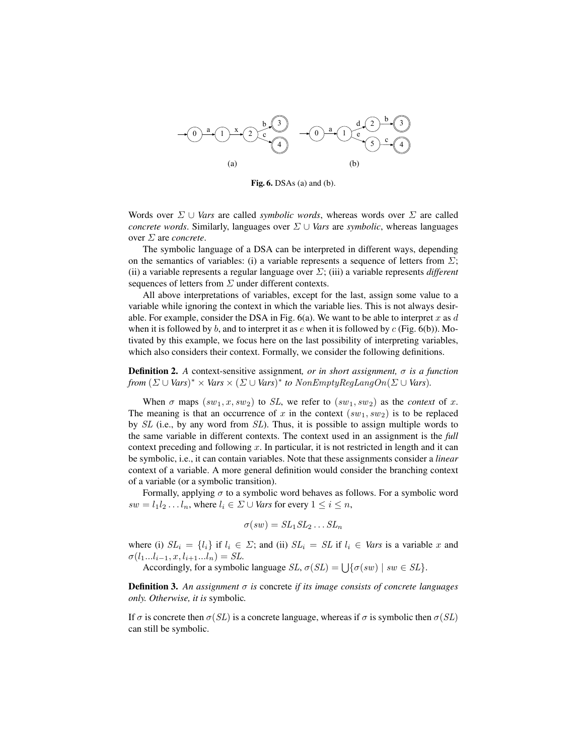

Fig. 6. DSAs (a) and (b).

Words over Σ ∪ *Vars* are called *symbolic words*, whereas words over Σ are called *concrete words*. Similarly, languages over  $\Sigma \cup Vars$  are *symbolic*, whereas languages over Σ are *concrete*.

The symbolic language of a DSA can be interpreted in different ways, depending on the semantics of variables: (i) a variable represents a sequence of letters from  $\Sigma$ ; (ii) a variable represents a regular language over Σ; (iii) a variable represents *different* sequences of letters from  $\Sigma$  under different contexts.

All above interpretations of variables, except for the last, assign some value to a variable while ignoring the context in which the variable lies. This is not always desirable. For example, consider the DSA in Fig.  $6(a)$ . We want to be able to interpret x as d when it is followed by b, and to interpret it as e when it is followed by  $c$  (Fig. 6(b)). Motivated by this example, we focus here on the last possibility of interpreting variables, which also considers their context. Formally, we consider the following definitions.

Definition 2. *A* context-sensitive assignment*, or in short assignment,* σ *is a function from*  $(\Sigma \cup \text{Vars})^* \times \text{Vars} \times (\Sigma \cup \text{Vars})^*$  to  $\text{NonEmptyRegLangOn}(\Sigma \cup \text{Vars})$ .

When  $\sigma$  maps  $(sw_1, x, sw_2)$  to *SL*, we refer to  $(sw_1, sw_2)$  as the *context* of x. The meaning is that an occurrence of x in the context  $(sw_1, sw_2)$  is to be replaced by  $SL$  (i.e., by any word from  $SL$ ). Thus, it is possible to assign multiple words to the same variable in different contexts. The context used in an assignment is the *full* context preceding and following x. In particular, it is not restricted in length and it can be symbolic, i.e., it can contain variables. Note that these assignments consider a *linear* context of a variable. A more general definition would consider the branching context of a variable (or a symbolic transition).

Formally, applying  $\sigma$  to a symbolic word behaves as follows. For a symbolic word  $sw = l_1 l_2 \dots l_n$ , where  $l_i \in \Sigma \cup Vars$  for every  $1 \leq i \leq n$ ,

$$
\sigma(sw) = SL_1SL_2\ldots SL_n
$$

where (i)  $SL_i = \{l_i\}$  if  $l_i \in \Sigma$ ; and (ii)  $SL_i = SL$  if  $l_i \in Vars$  is a variable x and  $\sigma(l_1...l_{i-1}, x, l_{i+1}...l_n) = SL.$ 

Accordingly, for a symbolic language  $SL$ ,  $\sigma(SL) = \bigcup \{ \sigma(sw) \mid sw \in SL \}.$ 

Definition 3. *An assignment* σ *is* concrete *if its image consists of concrete languages only. Otherwise, it is* symbolic*.*

If σ is concrete then  $\sigma(SL)$  is a concrete language, whereas if σ is symbolic then  $\sigma(SL)$ can still be symbolic.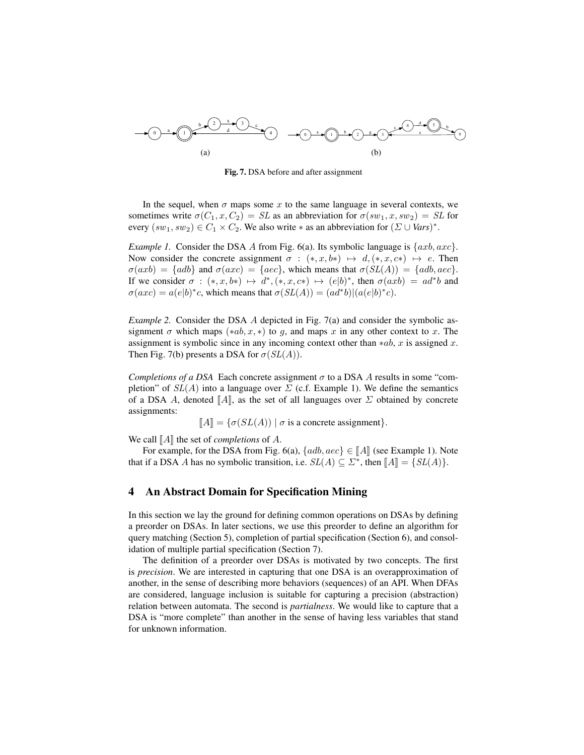

Fig. 7. DSA before and after assignment

In the sequel, when  $\sigma$  maps some x to the same language in several contexts, we sometimes write  $\sigma(C_1, x, C_2) = SL$  as an abbreviation for  $\sigma(sw_1, x, sw_2) = SL$  for every  $(sw_1, sw_2) \in C_1 \times C_2$ . We also write  $*$  as an abbreviation for  $(\Sigma \cup Vars)^*$ .

*Example 1.* Consider the DSA A from Fig. 6(a). Its symbolic language is  $\{axb, axc\}$ . Now consider the concrete assignment  $\sigma : (*,x, b*) \mapsto d, (*,x, c*) \mapsto e$ . Then  $\sigma(axb) = \{adb\}$  and  $\sigma(axc) = \{acc\}$ , which means that  $\sigma(SL(A)) = \{adb, ace\}$ . If we consider  $\sigma : (*,x,b*) \mapsto d^*,(*,x,c*) \mapsto (e|b)^*$ , then  $\sigma(axb) = ad^*b$  and  $\sigma(axc) = a(e|b)^*c$ , which means that  $\sigma(SL(A)) = (ad^*b)|(a(e|b)^*c)$ .

*Example 2.* Consider the DSA A depicted in Fig. 7(a) and consider the symbolic assignment  $\sigma$  which maps (\*ab, x, \*) to q, and maps x in any other context to x. The assignment is symbolic since in any incoming context other than  $*ab$ , x is assigned x. Then Fig. 7(b) presents a DSA for  $\sigma(SL(A))$ .

*Completions of a DSA* Each concrete assignment  $\sigma$  to a DSA A results in some "completion" of  $SL(A)$  into a language over  $\Sigma$  (c.f. Example 1). We define the semantics of a DSA A, denoted  $\llbracket A \rrbracket$ , as the set of all languages over  $\Sigma$  obtained by concrete assignments:

 $\llbracket A \rrbracket = \{ \sigma(SL(A)) \mid \sigma \text{ is a concrete assignment} \}.$ 

We call  $\llbracket A \rrbracket$  the set of *completions* of A.

For example, for the DSA from Fig. 6(a),  $\{adb, ace\} \in \llbracket A \rrbracket$  (see Example 1). Note that if a DSA A has no symbolic transition, i.e.  $SL(A) \subseteq \mathbb{Z}^*$ , then  $[\![A]\!] = \{SL(A)\}$ .

### 4 An Abstract Domain for Specification Mining

In this section we lay the ground for defining common operations on DSAs by defining a preorder on DSAs. In later sections, we use this preorder to define an algorithm for query matching (Section 5), completion of partial specification (Section 6), and consolidation of multiple partial specification (Section 7).

The definition of a preorder over DSAs is motivated by two concepts. The first is *precision*. We are interested in capturing that one DSA is an overapproximation of another, in the sense of describing more behaviors (sequences) of an API. When DFAs are considered, language inclusion is suitable for capturing a precision (abstraction) relation between automata. The second is *partialness*. We would like to capture that a DSA is "more complete" than another in the sense of having less variables that stand for unknown information.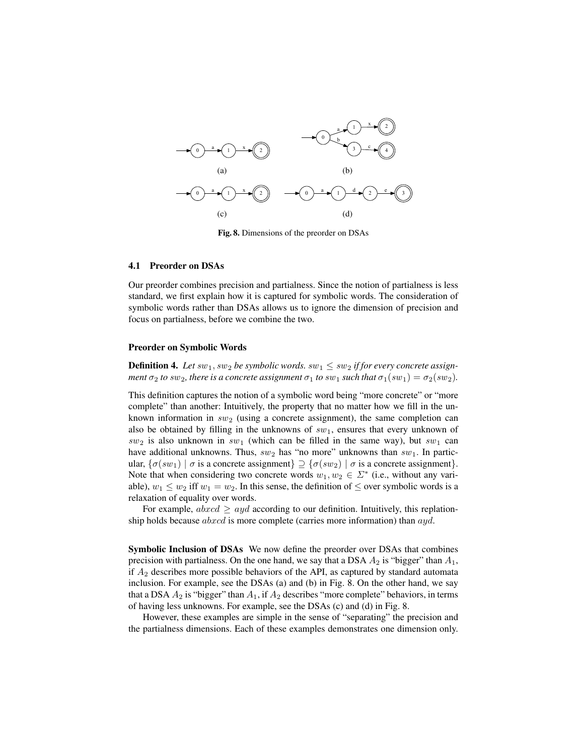

Fig. 8. Dimensions of the preorder on DSAs

#### 4.1 Preorder on DSAs

Our preorder combines precision and partialness. Since the notion of partialness is less standard, we first explain how it is captured for symbolic words. The consideration of symbolic words rather than DSAs allows us to ignore the dimension of precision and focus on partialness, before we combine the two.

#### Preorder on Symbolic Words

**Definition 4.** Let  $sw_1, sw_2$  be symbolic words.  $sw_1 \le sw_2$  if for every concrete assign*ment*  $\sigma_2$  *to* sw<sub>2</sub>, there is a concrete assignment  $\sigma_1$  to sw<sub>1</sub> such that  $\sigma_1(sw_1) = \sigma_2(sw_2)$ .

This definition captures the notion of a symbolic word being "more concrete" or "more complete" than another: Intuitively, the property that no matter how we fill in the unknown information in  $sw_2$  (using a concrete assignment), the same completion can also be obtained by filling in the unknowns of  $sw_1$ , ensures that every unknown of  $sw_2$  is also unknown in  $sw_1$  (which can be filled in the same way), but  $sw_1$  can have additional unknowns. Thus,  $sw_2$  has "no more" unknowns than  $sw_1$ . In particular,  $\{\sigma(sw_1) \mid \sigma \text{ is a concrete assignment}\}\supseteq \{\sigma(sw_2) \mid \sigma \text{ is a concrete assignment}\}.$ Note that when considering two concrete words  $w_1, w_2 \in \Sigma^*$  (i.e., without any variable),  $w_1 \leq w_2$  iff  $w_1 = w_2$ . In this sense, the definition of  $\leq$  over symbolic words is a relaxation of equality over words.

For example,  $abcd \geq ayd$  according to our definition. Intuitively, this replationship holds because  $abxcd$  is more complete (carries more information) than  $ayd$ .

Symbolic Inclusion of DSAs We now define the preorder over DSAs that combines precision with partialness. On the one hand, we say that a DSA  $A_2$  is "bigger" than  $A_1$ , if  $A_2$  describes more possible behaviors of the API, as captured by standard automata inclusion. For example, see the DSAs (a) and (b) in Fig. 8. On the other hand, we say that a DSA  $A_2$  is "bigger" than  $A_1$ , if  $A_2$  describes "more complete" behaviors, in terms of having less unknowns. For example, see the DSAs (c) and (d) in Fig. 8.

However, these examples are simple in the sense of "separating" the precision and the partialness dimensions. Each of these examples demonstrates one dimension only.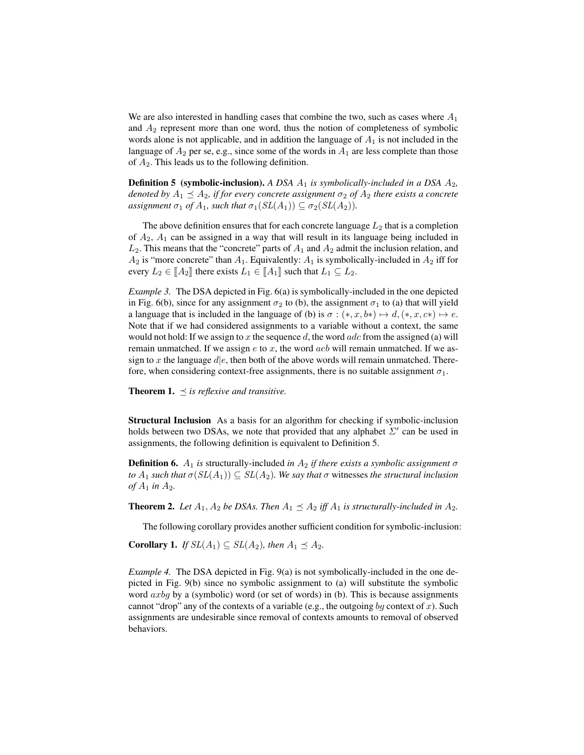We are also interested in handling cases that combine the two, such as cases where  $A_1$ and  $A_2$  represent more than one word, thus the notion of completeness of symbolic words alone is not applicable, and in addition the language of  $A_1$  is not included in the language of  $A_2$  per se, e.g., since some of the words in  $A_1$  are less complete than those of  $A_2$ . This leads us to the following definition.

**Definition 5** (symbolic-inclusion). A DSA  $A_1$  is symbolically-included in a DSA  $A_2$ , *denoted by*  $A_1 \leq A_2$ *, if for every concrete assignment*  $\sigma_2$  *of*  $A_2$  *there exists a concrete assignment*  $\sigma_1$  *of*  $A_1$ *, such that*  $\sigma_1(SL(A_1)) \subseteq \sigma_2(SL(A_2))$ *.* 

The above definition ensures that for each concrete language  $L_2$  that is a completion of  $A_2$ ,  $A_1$  can be assigned in a way that will result in its language being included in  $L_2$ . This means that the "concrete" parts of  $A_1$  and  $A_2$  admit the inclusion relation, and  $A_2$  is "more concrete" than  $A_1$ . Equivalently:  $A_1$  is symbolically-included in  $A_2$  iff for every  $L_2 \in [A_2]$  there exists  $L_1 \in [A_1]$  such that  $L_1 \subseteq L_2$ .

*Example 3.* The DSA depicted in Fig. 6(a) is symbolically-included in the one depicted in Fig. 6(b), since for any assignment  $\sigma_2$  to (b), the assignment  $\sigma_1$  to (a) that will yield a language that is included in the language of (b) is  $\sigma : (*, x, b*) \mapsto d, (*, x, c*) \mapsto e$ . Note that if we had considered assignments to a variable without a context, the same would not hold: If we assign to x the sequence d, the word adc from the assigned (a) will remain unmatched. If we assign  $e$  to x, the word aeb will remain unmatched. If we assign to x the language  $d|e$ , then both of the above words will remain unmatched. Therefore, when considering context-free assignments, there is no suitable assignment  $\sigma_1$ .

**Theorem 1.**  $\preceq$  *is reflexive and transitive.* 

Structural Inclusion As a basis for an algorithm for checking if symbolic-inclusion holds between two DSAs, we note that provided that any alphabet  $\Sigma'$  can be used in assignments, the following definition is equivalent to Definition 5.

**Definition 6.**  $A_1$  *is* structurally-included *in*  $A_2$  *if there exists a symbolic assignment*  $\sigma$ *to*  $A_1$  *such that*  $\sigma(SL(A_1)) \subseteq SL(A_2)$ *. We say that*  $\sigma$  witnesses *the structural inclusion of*  $A_1$  *in*  $A_2$ *.* 

**Theorem 2.** Let  $A_1$ ,  $A_2$  be DSAs. Then  $A_1 \preceq A_2$  iff  $A_1$  is structurally-included in  $A_2$ .

The following corollary provides another sufficient condition for symbolic-inclusion:

**Corollary 1.** *If*  $SL(A_1) \subseteq SL(A_2)$ *, then*  $A_1 \preceq A_2$ *.* 

*Example 4.* The DSA depicted in Fig. 9(a) is not symbolically-included in the one depicted in Fig. 9(b) since no symbolic assignment to (a) will substitute the symbolic word *axbg* by a (symbolic) word (or set of words) in (b). This is because assignments cannot "drop" any of the contexts of a variable (e.g., the outgoing bq context of x). Such assignments are undesirable since removal of contexts amounts to removal of observed behaviors.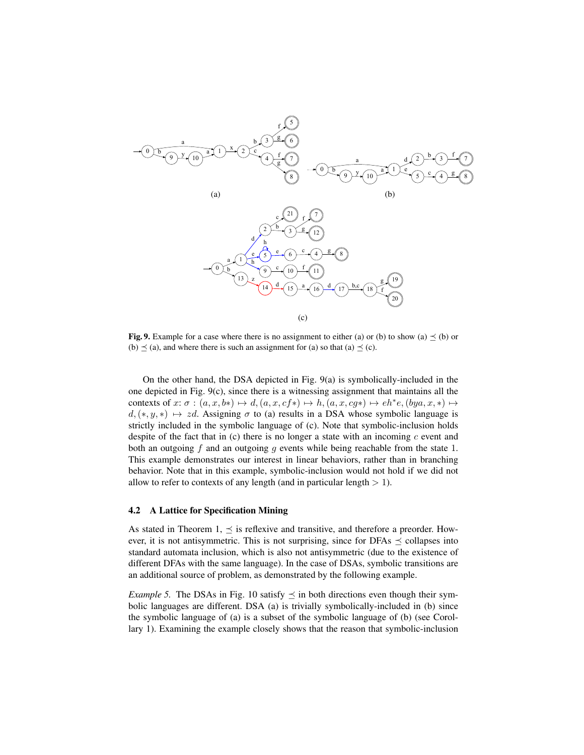

Fig. 9. Example for a case where there is no assignment to either (a) or (b) to show (a)  $\prec$  (b) or (b)  $\prec$  (a), and where there is such an assignment for (a) so that (a)  $\prec$  (c).

On the other hand, the DSA depicted in Fig. 9(a) is symbolically-included in the one depicted in Fig. 9(c), since there is a witnessing assignment that maintains all the contexts of  $x: \sigma : (a, x, b*) \mapsto d, (a, x, cf*) \mapsto h, (a, x, cg*) \mapsto eh^*e, (bya, x, *) \mapsto$  $d,(*,y,*) \mapsto zd$ . Assigning  $\sigma$  to (a) results in a DSA whose symbolic language is strictly included in the symbolic language of (c). Note that symbolic-inclusion holds despite of the fact that in  $(c)$  there is no longer a state with an incoming c event and both an outgoing  $f$  and an outgoing  $g$  events while being reachable from the state 1. This example demonstrates our interest in linear behaviors, rather than in branching behavior. Note that in this example, symbolic-inclusion would not hold if we did not allow to refer to contexts of any length (and in particular length  $> 1$ ).

#### 4.2 A Lattice for Specification Mining

As stated in Theorem 1,  $\preceq$  is reflexive and transitive, and therefore a preorder. However, it is not antisymmetric. This is not surprising, since for DFAs  $\prec$  collapses into standard automata inclusion, which is also not antisymmetric (due to the existence of different DFAs with the same language). In the case of DSAs, symbolic transitions are an additional source of problem, as demonstrated by the following example.

*Example 5.* The DSAs in Fig. 10 satisfy  $\preceq$  in both directions even though their symbolic languages are different. DSA (a) is trivially symbolically-included in (b) since the symbolic language of (a) is a subset of the symbolic language of (b) (see Corollary 1). Examining the example closely shows that the reason that symbolic-inclusion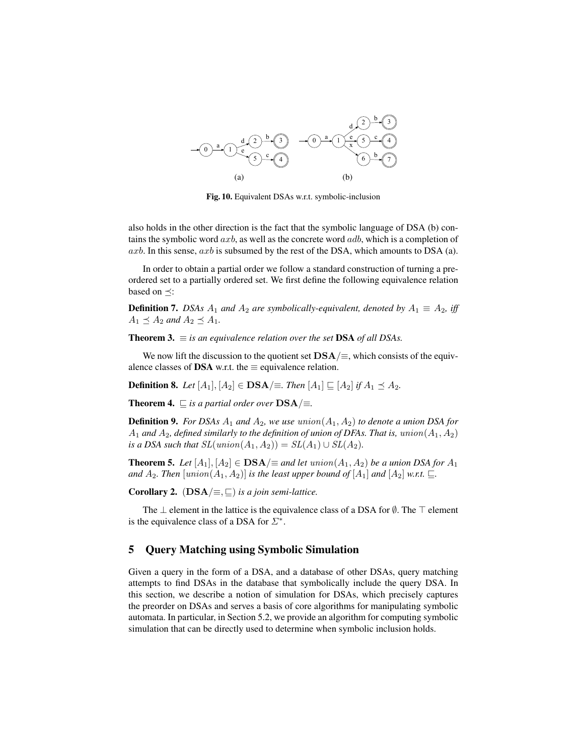

Fig. 10. Equivalent DSAs w.r.t. symbolic-inclusion

also holds in the other direction is the fact that the symbolic language of DSA (b) contains the symbolic word  $axb$ , as well as the concrete word  $adb$ , which is a completion of axb. In this sense,  $axb$  is subsumed by the rest of the DSA, which amounts to DSA (a).

In order to obtain a partial order we follow a standard construction of turning a preordered set to a partially ordered set. We first define the following equivalence relation based on  $\prec$ :

**Definition 7.** *DSAs*  $A_1$  *and*  $A_2$  *are symbolically-equivalent, denoted by*  $A_1 \equiv A_2$ *, iff*  $A_1 \preceq A_2$  *and*  $A_2 \preceq A_1$ *.* 

**Theorem 3.**  $\equiv$  *is an equivalence relation over the set* **DSA** *of all DSAs.* 

We now lift the discussion to the quotient set  $\text{DSA}/\equiv$ , which consists of the equivalence classes of DSA w.r.t. the  $\equiv$  equivalence relation.

**Definition 8.** *Let* [A<sub>1</sub>], [A<sub>2</sub>] ∈ **DSA**/ $\equiv$ *. Then* [A<sub>1</sub>]  $\sqsubseteq$  [A<sub>2</sub>] *if* A<sub>1</sub>  $\preceq$  A<sub>2</sub>*.* 

**Theorem 4.**  $\sqsubseteq$  *is a partial order over*  $\text{DSA}/\equiv$ *.* 

**Definition 9.** For DSAs  $A_1$  and  $A_2$ , we use  $union(A_1, A_2)$  to denote a union DSA for  $A_1$  and  $A_2$ , defined similarly to the definition of union of DFAs. That is,  $union(A_1, A_2)$ *is a DSA such that*  $SL($ *union* $(A_1, A_2)$  $) = SL(A_1) \cup SL(A_2)$ *.* 

**Theorem 5.** *Let*  $[A_1], [A_2] \in \mathbf{DSA}/\equiv$  *and let*  $union(A_1, A_2)$  *be a union DSA for*  $A_1$ *and*  $A_2$ *. Then* [union( $A_1$ *,*  $A_2$ )] *is the least upper bound of* [ $A_1$ ] *and* [ $A_2$ ] *w.r.t.*  $\sqsubseteq$ *.* 

Corollary 2.  $(DSA/\equiv, \sqsubseteq)$  *is a join semi-lattice.* 

The ⊥ element in the lattice is the equivalence class of a DSA for  $\emptyset$ . The  $\top$  element is the equivalence class of a DSA for  $\mathbb{Z}^*$ .

# 5 Query Matching using Symbolic Simulation

Given a query in the form of a DSA, and a database of other DSAs, query matching attempts to find DSAs in the database that symbolically include the query DSA. In this section, we describe a notion of simulation for DSAs, which precisely captures the preorder on DSAs and serves a basis of core algorithms for manipulating symbolic automata. In particular, in Section 5.2, we provide an algorithm for computing symbolic simulation that can be directly used to determine when symbolic inclusion holds.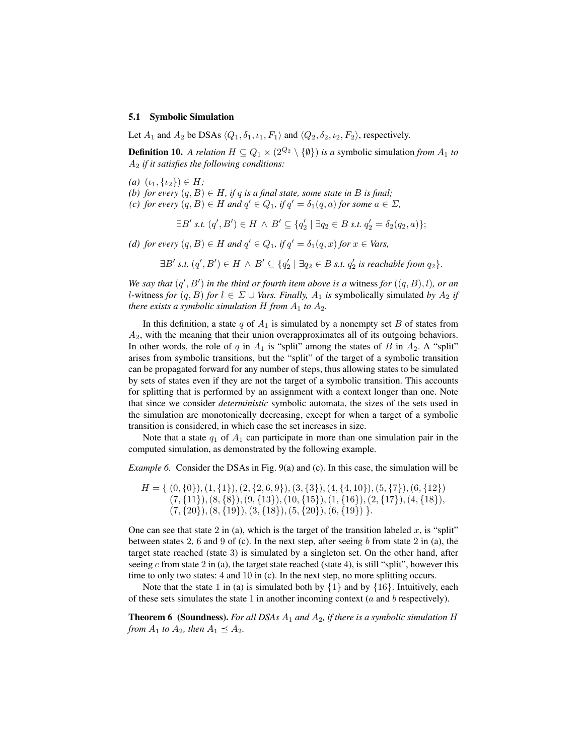#### 5.1 Symbolic Simulation

Let  $A_1$  and  $A_2$  be DSAs  $\langle Q_1, \delta_1, \iota_1, F_1 \rangle$  and  $\langle Q_2, \delta_2, \iota_2, F_2 \rangle$ , respectively.

**Definition 10.** *A relation*  $H \subseteq Q_1 \times (2^{Q_2} \setminus \{\emptyset\})$  *is a symbolic simulation from*  $A_1$  *to* A<sup>2</sup> *if it satisfies the following conditions:*

*(a)*  $(\iota_1, \{\iota_2\}) \in H$ ;

*(b) for every*  $(q, B) \in H$ *, if* q *is a final state, some state in* B *is final*;

- *(c) for every*  $(q, B) \in H$  *and*  $q' \in Q_1$ *, if*  $q' = \delta_1(q, a)$  *for some*  $a \in \Sigma$ *,* 
	- $\exists B' \text{ s.t. } (q', B') \in H \land B' \subseteq \{q_2' \mid \exists q_2 \in B \text{ s.t. } q_2' = \delta_2(q_2, a)\};$

*(d) for every*  $(q, B) \in H$  *and*  $q' \in Q_1$ *, if*  $q' = \delta_1(q, x)$  *for*  $x \in V$ *ars,* 

 $\exists B' \text{ s.t. } (q', B') \in H \land B' \subseteq \{q_2' \mid \exists q_2 \in B \text{ s.t. } q_2' \text{ is reachable from } q_2\}.$ 

We say that  $(q', B')$  in the third or fourth item above is a witness for  $((q, B), l)$ *, or an* l-witness *for*  $(q, B)$  *for*  $l \in \Sigma \cup Vars$ *. Finally,*  $A_1$  *is* symbolically simulated *by*  $A_2$  *if there exists a symbolic simulation*  $H$  *from*  $A_1$  *to*  $A_2$ *.* 

In this definition, a state q of  $A_1$  is simulated by a nonempty set B of states from  $A<sub>2</sub>$ , with the meaning that their union overapproximates all of its outgoing behaviors. In other words, the role of q in  $A_1$  is "split" among the states of B in  $A_2$ . A "split" arises from symbolic transitions, but the "split" of the target of a symbolic transition can be propagated forward for any number of steps, thus allowing states to be simulated by sets of states even if they are not the target of a symbolic transition. This accounts for splitting that is performed by an assignment with a context longer than one. Note that since we consider *deterministic* symbolic automata, the sizes of the sets used in the simulation are monotonically decreasing, except for when a target of a symbolic transition is considered, in which case the set increases in size.

Note that a state  $q_1$  of  $A_1$  can participate in more than one simulation pair in the computed simulation, as demonstrated by the following example.

*Example 6.* Consider the DSAs in Fig. 9(a) and (c). In this case, the simulation will be

 $H = \{ (0, {0}), (1, {1}), (2, {2, 6, 9}), (3, {3}), (4, {4, 10}), (5, {7}), (6, {12}) \}$  $(7, {11}), (8, {8}), (9, {13}), (10, {15}), (1, {16}), (2, {17}), (4, {18}),$  $(7, \{20\}), (8, \{19\}), (3, \{18\}), (5, \{20\}), (6, \{19\})$ .

One can see that state 2 in (a), which is the target of the transition labeled  $x$ , is "split" between states 2, 6 and 9 of (c). In the next step, after seeing  $b$  from state 2 in (a), the target state reached (state 3) is simulated by a singleton set. On the other hand, after seeing  $c$  from state  $2$  in (a), the target state reached (state  $4$ ), is still "split", however this time to only two states: 4 and 10 in (c). In the next step, no more splitting occurs.

Note that the state 1 in (a) is simulated both by  $\{1\}$  and by  $\{16\}$ . Intuitively, each of these sets simulates the state 1 in another incoming context ( $a$  and  $b$  respectively).

**Theorem 6 (Soundness).** For all DSAs  $A_1$  and  $A_2$ , if there is a symbolic simulation H *from*  $A_1$  *to*  $A_2$ *, then*  $A_1 \preceq A_2$ *.*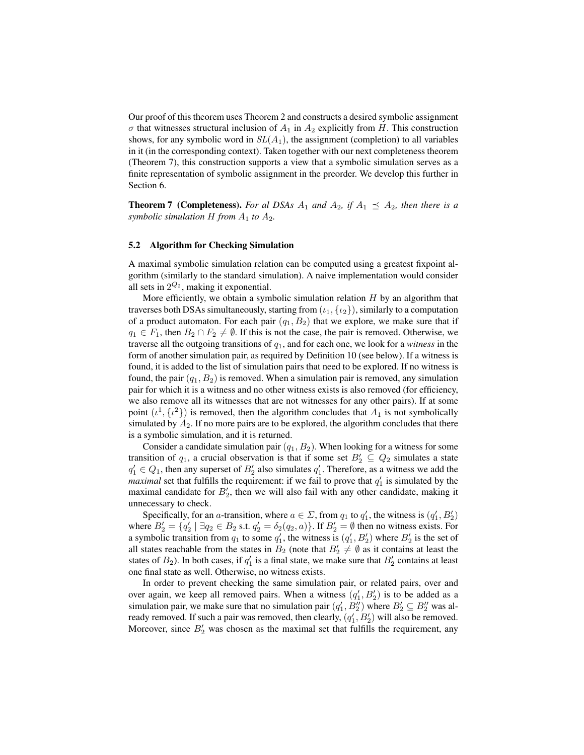Our proof of this theorem uses Theorem 2 and constructs a desired symbolic assignment  $\sigma$  that witnesses structural inclusion of  $A_1$  in  $A_2$  explicitly from H. This construction shows, for any symbolic word in  $SL(A_1)$ , the assignment (completion) to all variables in it (in the corresponding context). Taken together with our next completeness theorem (Theorem 7), this construction supports a view that a symbolic simulation serves as a finite representation of symbolic assignment in the preorder. We develop this further in Section 6.

**Theorem 7 (Completeness).** *For al DSAs A<sub>1</sub> and A<sub>2</sub>, if*  $A_1 \leq A_2$ *, then there is a symbolic simulation*  $H$  *from*  $A_1$  *to*  $A_2$ *.* 

#### 5.2 Algorithm for Checking Simulation

A maximal symbolic simulation relation can be computed using a greatest fixpoint algorithm (similarly to the standard simulation). A naive implementation would consider all sets in  $2^{Q_2}$ , making it exponential.

More efficiently, we obtain a symbolic simulation relation  $H$  by an algorithm that traverses both DSAs simultaneously, starting from  $(\iota_1, {\iota_2})$ , similarly to a computation of a product automaton. For each pair  $(q_1, B_2)$  that we explore, we make sure that if  $q_1 \in F_1$ , then  $B_2 \cap F_2 \neq \emptyset$ . If this is not the case, the pair is removed. Otherwise, we traverse all the outgoing transitions of  $q_1$ , and for each one, we look for a *witness* in the form of another simulation pair, as required by Definition 10 (see below). If a witness is found, it is added to the list of simulation pairs that need to be explored. If no witness is found, the pair  $(q_1, B_2)$  is removed. When a simulation pair is removed, any simulation pair for which it is a witness and no other witness exists is also removed (for efficiency, we also remove all its witnesses that are not witnesses for any other pairs). If at some point  $(\iota^1, {\{\iota^2\}})$  is removed, then the algorithm concludes that  $A_1$  is not symbolically simulated by  $A_2$ . If no more pairs are to be explored, the algorithm concludes that there is a symbolic simulation, and it is returned.

Consider a candidate simulation pair  $(q_1, B_2)$ . When looking for a witness for some transition of  $q_1$ , a crucial observation is that if some set  $B'_2 \subseteq Q_2$  simulates a state  $q'_1 \in Q_1$ , then any superset of  $B'_2$  also simulates  $q'_1$ . Therefore, as a witness we add the *maximal* set that fulfills the requirement: if we fail to prove that  $q'_1$  is simulated by the maximal candidate for  $B_2'$ , then we will also fail with any other candidate, making it unnecessary to check.

Specifically, for an a-transition, where  $a \in \Sigma$ , from  $q_1$  to  $q'_1$ , the witness is  $(q'_1, B'_2)$ where  $B'_2 = \{q'_2 \mid \exists q_2 \in B_2 \text{ s.t. } q'_2 = \delta_2(q_2, a)\}\.$  If  $B'_2 = \emptyset$  then no witness exists. For a symbolic transition from  $q_1$  to some  $q'_1$ , the witness is  $(q'_1, B'_2)$  where  $B'_2$  is the set of all states reachable from the states in  $B_2$  (note that  $B'_2 \neq \emptyset$  as it contains at least the states of  $B_2$ ). In both cases, if  $q'_1$  is a final state, we make sure that  $B'_2$  contains at least one final state as well. Otherwise, no witness exists.

In order to prevent checking the same simulation pair, or related pairs, over and over again, we keep all removed pairs. When a witness  $(q'_1, B'_2)$  is to be added as a simulation pair, we make sure that no simulation pair  $(q'_1, B''_2)$  where  $B'_2 \subseteq B''_2$  was already removed. If such a pair was removed, then clearly,  $(q_1^{\prime},B_2^{\prime})$  will also be removed. Moreover, since  $B_2'$  was chosen as the maximal set that fulfills the requirement, any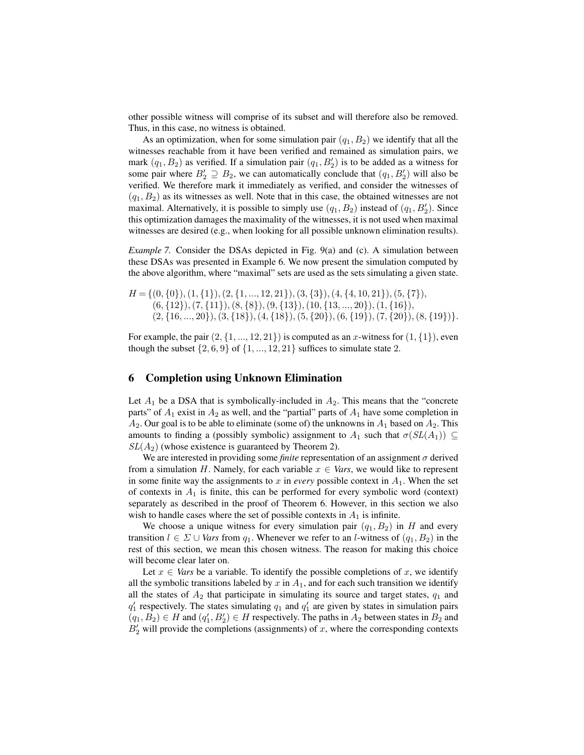other possible witness will comprise of its subset and will therefore also be removed. Thus, in this case, no witness is obtained.

As an optimization, when for some simulation pair  $(q_1, B_2)$  we identify that all the witnesses reachable from it have been verified and remained as simulation pairs, we mark  $(q_1, B_2)$  as verified. If a simulation pair  $(q_1, B_2')$  is to be added as a witness for some pair where  $B'_2 \supseteq B_2$ , we can automatically conclude that  $(q_1, B'_2)$  will also be verified. We therefore mark it immediately as verified, and consider the witnesses of  $(q_1, B_2)$  as its witnesses as well. Note that in this case, the obtained witnesses are not maximal. Alternatively, it is possible to simply use  $(q_1, B_2)$  instead of  $(q_1, B_2')$ . Since this optimization damages the maximality of the witnesses, it is not used when maximal witnesses are desired (e.g., when looking for all possible unknown elimination results).

*Example 7.* Consider the DSAs depicted in Fig. 9(a) and (c). A simulation between these DSAs was presented in Example 6. We now present the simulation computed by the above algorithm, where "maximal" sets are used as the sets simulating a given state.

$$
H = \{(0, \{0\}), (1, \{1\}), (2, \{1, ..., 12, 21\}), (3, \{3\}), (4, \{4, 10, 21\}), (5, \{7\}), (6, \{12\}), (7, \{11\}), (8, \{8\}), (9, \{13\}), (10, \{13, ..., 20\}), (1, \{16\}), (2, \{16, ..., 20\}), (3, \{18\}), (4, \{18\}), (5, \{20\}), (6, \{19\}), (7, \{20\}), (8, \{19\})\}.
$$

For example, the pair  $(2, \{1, ..., 12, 21\})$  is computed as an x-witness for  $(1, \{1\})$ , even though the subset  $\{2,6,9\}$  of  $\{1, ..., 12, 21\}$  suffices to simulate state 2.

### 6 Completion using Unknown Elimination

Let  $A_1$  be a DSA that is symbolically-included in  $A_2$ . This means that the "concrete" parts" of  $A_1$  exist in  $A_2$  as well, and the "partial" parts of  $A_1$  have some completion in  $A_2$ . Our goal is to be able to eliminate (some of) the unknowns in  $A_1$  based on  $A_2$ . This amounts to finding a (possibly symbolic) assignment to  $A_1$  such that  $\sigma(SL(A_1)) \subseteq$  $SL(A<sub>2</sub>)$  (whose existence is guaranteed by Theorem 2).

We are interested in providing some *finite* representation of an assignment  $\sigma$  derived from a simulation H. Namely, for each variable  $x \in Vars$ , we would like to represent in some finite way the assignments to  $x$  in *every* possible context in  $A_1$ . When the set of contexts in  $A_1$  is finite, this can be performed for every symbolic word (context) separately as described in the proof of Theorem 6. However, in this section we also wish to handle cases where the set of possible contexts in  $A_1$  is infinite.

We choose a unique witness for every simulation pair  $(q_1, B_2)$  in H and every transition  $l \in \Sigma \cup Vars$  from  $q_1$ . Whenever we refer to an *l*-witness of  $(q_1, B_2)$  in the rest of this section, we mean this chosen witness. The reason for making this choice will become clear later on.

Let  $x \in Vars$  be a variable. To identify the possible completions of x, we identify all the symbolic transitions labeled by x in  $A_1$ , and for each such transition we identify all the states of  $A_2$  that participate in simulating its source and target states,  $q_1$  and  $q'_1$  respectively. The states simulating  $q_1$  and  $q'_1$  are given by states in simulation pairs  $(q_1, B_2) \in H$  and  $(q'_1, B'_2) \in H$  respectively. The paths in  $A_2$  between states in  $B_2$  and  $B_2'$  will provide the completions (assignments) of x, where the corresponding contexts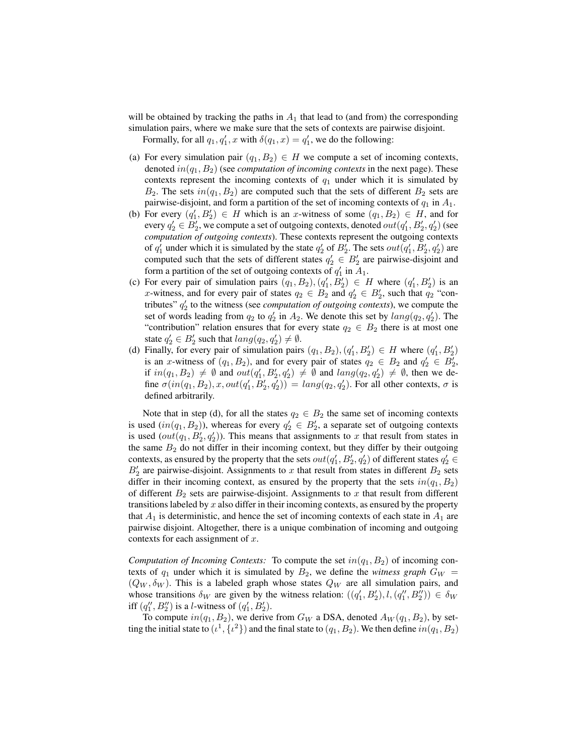will be obtained by tracking the paths in  $A_1$  that lead to (and from) the corresponding simulation pairs, where we make sure that the sets of contexts are pairwise disjoint.

Formally, for all  $q_1, q'_1, x$  with  $\delta(q_1, x) = q'_1$ , we do the following:

- (a) For every simulation pair  $(q_1, B_2) \in H$  we compute a set of incoming contexts, denoted in(q1, B2) (see *computation of incoming contexts* in the next page). These contexts represent the incoming contexts of  $q_1$  under which it is simulated by  $B_2$ . The sets  $in(q_1, B_2)$  are computed such that the sets of different  $B_2$  sets are pairwise-disjoint, and form a partition of the set of incoming contexts of  $q_1$  in  $A_1$ .
- (b) For every  $(q'_1, B'_2) \in H$  which is an x-witness of some  $(q_1, B_2) \in H$ , and for every  $q_2' \in B_2'$ , we compute a set of outgoing contexts, denoted  $out(q_1', B_2', q_2')$  (see *computation of outgoing contexts*). These contexts represent the outgoing contexts of  $q'_1$  under which it is simulated by the state  $q'_2$  of  $B'_2$ . The sets  $out(q'_1, B'_2, q'_2)$  are computed such that the sets of different states  $q'_2 \in B'_2$  are pairwise-disjoint and form a partition of the set of outgoing contexts of  $q'_1$  in  $A_1$ .
- (c) For every pair of simulation pairs  $(q_1, B_2), (q'_1, B'_2) \in H$  where  $(q'_1, B'_2)$  is an x-witness, and for every pair of states  $q_2 \in B_2$  and  $q'_2 \in B'_2$ , such that  $q_2$  "contributes"  $q'_2$  to the witness (see *computation of outgoing contexts*), we compute the set of words leading from  $q_2$  to  $q'_2$  in  $A_2$ . We denote this set by  $lang(q_2, q'_2)$ . The "contribution" relation ensures that for every state  $q_2 \in B_2$  there is at most one state  $q_2' \in B_2'$  such that  $lang(q_2, q_2') \neq \emptyset$ .
- (d) Finally, for every pair of simulation pairs  $(q_1, B_2), (q'_1, B'_2) \in H$  where  $(q'_1, B'_2)$ is an x-witness of  $(q_1, B_2)$ , and for every pair of states  $q_2 \in B_2$  and  $q'_2 \in B'_2$ , if  $in(q_1, B_2) \neq \emptyset$  and  $out(q'_1, B'_2, q'_2) \neq \emptyset$  and  $lang(q_2, q'_2) \neq \emptyset$ , then we define  $\sigma(in(q_1, B_2), x, out(q'_1, B'_2, q'_2)) = lang(q_2, q'_2)$ . For all other contexts,  $\sigma$  is defined arbitrarily.

Note that in step (d), for all the states  $q_2 \in B_2$  the same set of incoming contexts is used  $(in(q_1, B_2))$ , whereas for every  $q'_2 \in B'_2$ , a separate set of outgoing contexts is used  $(out(q_1, B'_2, q'_2))$ . This means that assignments to x that result from states in the same  $B_2$  do not differ in their incoming context, but they differ by their outgoing contexts, as ensured by the property that the sets  $out(q'_1, B'_2, q'_2)$  of different states  $q'_2 \in$  $B_2'$  are pairwise-disjoint. Assignments to x that result from states in different  $B_2$  sets differ in their incoming context, as ensured by the property that the sets  $in(q_1, B_2)$ of different  $B_2$  sets are pairwise-disjoint. Assignments to x that result from different transitions labeled by  $x$  also differ in their incoming contexts, as ensured by the property that  $A_1$  is deterministic, and hence the set of incoming contexts of each state in  $A_1$  are pairwise disjoint. Altogether, there is a unique combination of incoming and outgoing contexts for each assignment of  $x$ .

*Computation of Incoming Contexts:* To compute the set  $in(q_1, B_2)$  of incoming contexts of  $q_1$  under which it is simulated by  $B_2$ , we define the *witness graph*  $G_W$  =  $(Q_W, \delta_W)$ . This is a labeled graph whose states  $Q_W$  are all simulation pairs, and whose transitions  $\delta_W$  are given by the witness relation:  $((q'_1, B'_2), l, (q''_1, B''_2)) \in \delta_W$ iff  $(q_1'', B_2'')$  is a *l*-witness of  $(q_1', B_2')$ .

To compute  $in(q_1, B_2)$ , we derive from  $G_W$  a DSA, denoted  $A_W(q_1, B_2)$ , by setting the initial state to  $(\iota^1, {\{\iota^2\}})$  and the final state to  $(q_1, B_2)$ . We then define  $in(q_1, B_2)$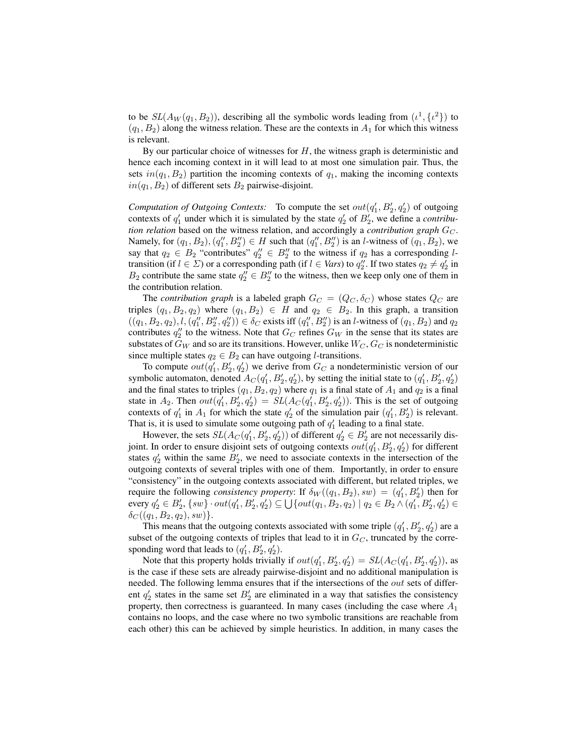to be  $SL(A_W(q_1, B_2))$ , describing all the symbolic words leading from  $(\iota^1, {\{\iota^2\}})$  to  $(q_1, B_2)$  along the witness relation. These are the contexts in  $A_1$  for which this witness is relevant.

By our particular choice of witnesses for  $H$ , the witness graph is deterministic and hence each incoming context in it will lead to at most one simulation pair. Thus, the sets  $in(q_1, B_2)$  partition the incoming contexts of  $q_1$ , making the incoming contexts  $in(q_1, B_2)$  of different sets  $B_2$  pairwise-disjoint.

Computation of Outgoing Contexts: To compute the set  $out(q'_1, B'_2, q'_2)$  of outgoing contexts of  $q'_1$  under which it is simulated by the state  $q'_2$  of  $B'_2$ , we define a *contribution relation* based on the witness relation, and accordingly a *contribution graph*  $G_C$ . Namely, for  $(q_1, B_2), (q''_1, B''_2) \in H$  such that  $(q''_1, B''_2)$  is an *l*-witness of  $(q_1, B_2)$ , we say that  $q_2 \in B_2$  "contributes"  $q_2'' \in B_2''$  to the witness if  $q_2$  has a corresponding ltransition (if  $l \in \Sigma$ ) or a corresponding path (if  $l \in Vars$ ) to  $q''_2$ . If two states  $q_2 \neq q'_2$  in  $B_2$  contribute the same state  $q''_2 \in B''_2$  to the witness, then we keep only one of them in the contribution relation.

The *contribution graph* is a labeled graph  $G_C = (Q_C, \delta_C)$  whose states  $Q_C$  are triples  $(q_1, B_2, q_2)$  where  $(q_1, B_2) \in H$  and  $q_2 \in B_2$ . In this graph, a transition  $((q_1, B_2, q_2), l, (q''_1, B''_2, q''_2)) \in \delta_C$  exists iff  $(q''_1, B''_2)$  is an *l*-witness of  $(q_1, B_2)$  and  $q_2$ contributes  $q_2''$  to the witness. Note that  $G_C$  refines  $G_W$  in the sense that its states are substates of  $G_W$  and so are its transitions. However, unlike  $W_C$ ,  $G_C$  is nondeterministic since multiple states  $q_2 \in B_2$  can have outgoing *l*-transitions.

To compute  $out(q'_1, B'_2, q'_2)$  we derive from  $G_C$  a nondeterministic version of our symbolic automaton, denoted  $A_C(q'_1, B'_2, q'_2)$ , by setting the initial state to  $(q'_1, B'_2, q'_2)$ and the final states to triples  $(q_1, B_2, q_2)$  where  $q_1$  is a final state of  $A_1$  and  $q_2$  is a final state in  $A_2$ . Then  $out(q'_1, B'_2, q'_2) = SL(A_C(q'_1, B'_2, q'_2))$ . This is the set of outgoing contexts of  $q'_1$  in  $A_1$  for which the state  $q'_2$  of the simulation pair  $(q'_1, B'_2)$  is relevant. That is, it is used to simulate some outgoing path of  $q'_1$  leading to a final state.

However, the sets  $SL(A_C(q'_1, B'_2, q'_2))$  of different  $q'_2 \in B'_2$  are not necessarily disjoint. In order to ensure disjoint sets of outgoing contexts  $out(q'_1, B'_2, q'_2)$  for different states  $q'_2$  within the same  $B'_2$ , we need to associate contexts in the intersection of the outgoing contexts of several triples with one of them. Importantly, in order to ensure "consistency" in the outgoing contexts associated with different, but related triples, we require the following *consistency property*: If  $\delta_W((q_1, B_2), sw) = (q'_1, B'_2)$  then for every  $q_2' \in B_2', \{sw\} \cdot out(q_1', B_2', q_2') \subseteq \bigcup \{out(q_1, B_2, q_2) \mid q_2 \in B_2 \land (q_1', B_2', q_2') \in$  $\delta_C((q_1, B_2, q_2), sw)$ .

This means that the outgoing contexts associated with some triple  $(q'_1, B'_2, q'_2)$  are a subset of the outgoing contexts of triples that lead to it in  $G_C$ , truncated by the corresponding word that leads to  $(q'_1, B'_2, q'_2)$ .

Note that this property holds trivially if  $out(q'_1, B'_2, q'_2) = SL(A_C(q'_1, B'_2, q'_2))$ , as is the case if these sets are already pairwise-disjoint and no additional manipulation is needed. The following lemma ensures that if the intersections of the *out* sets of different  $q_2'$  states in the same set  $B_2'$  are eliminated in a way that satisfies the consistency property, then correctness is guaranteed. In many cases (including the case where  $A_1$ contains no loops, and the case where no two symbolic transitions are reachable from each other) this can be achieved by simple heuristics. In addition, in many cases the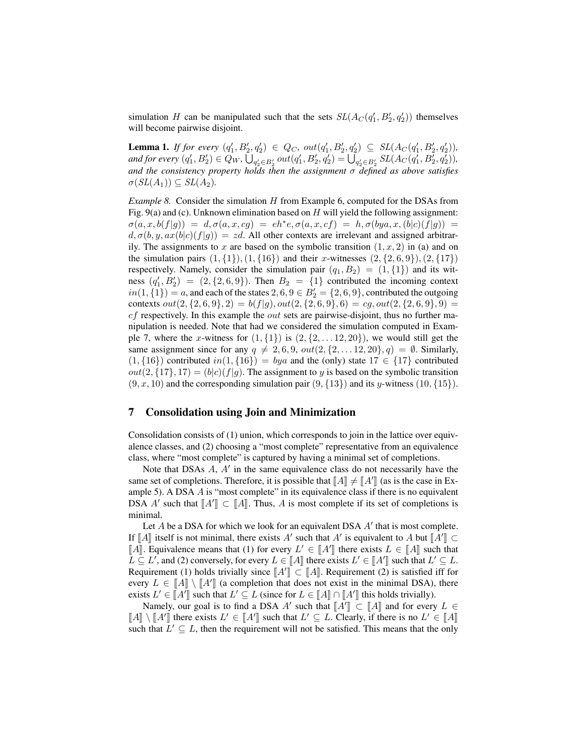simulation H can be manipulated such that the sets  $SL(A_C(q'_1, B'_2, q'_2))$  themselves will become pairwise disjoint.

**Lemma 1.** If for every  $(q'_1, B'_2, q'_2) \in Q_C$ ,  $out(q'_1, B'_2, q'_2) \subseteq SL(A_C(q'_1, B'_2, q'_2)),$  $and for every (q'_1, B'_2) \in Q_W$ ,  $\bigcup_{q'_2 \in B'_2} out(q'_1, B'_2, q'_2) = \bigcup_{q'_2 \in B'_2} SL(A_C(q'_1, B'_2, q'_2)),$ *and the consistency property holds then the assignment* σ *defined as above satisfies*  $\sigma(SL(A_1)) \subseteq SL(A_2)$ .

*Example 8.* Consider the simulation H from Example 6, computed for the DSAs from Fig.  $9(a)$  and (c). Unknown elimination based on H will yield the following assignment:  $\sigma(a,x,b(f|g)) = d, \sigma(a,x,cg) = eh^*e, \sigma(a,x,cf) = h, \sigma(bya,x,(b|c)(f|g)) =$  $d, \sigma(b, y, ax(b|c)(f|g)) = zd$ . All other contexts are irrelevant and assigned arbitrarily. The assignments to x are based on the symbolic transition  $(1, x, 2)$  in (a) and on the simulation pairs  $(1,\{1\})$ ,  $(1,\{16\})$  and their x-witnesses  $(2,\{2,6,9\})$ ,  $(2,\{17\})$ respectively. Namely, consider the simulation pair  $(q_1, B_2) = (1, \{1\})$  and its witness  $(q'_1, B'_2) = (2, {2, 6, 9})$ . Then  $B_2 = {1}$  contributed the incoming context  $in(1, {1}) = a$ , and each of the states  $2, 6, 9 \in B'_2 = {2, 6, 9}$ , contributed the outgoing contexts  $out(2, {2, 6, 9}, 2) = b(f|g), out(2, {2, 6, 9}, 6) = cg, out(2, {2, 6, 9}, 9) =$  $cf$  respectively. In this example the *out* sets are pairwise-disjoint, thus no further manipulation is needed. Note that had we considered the simulation computed in Example 7, where the x-witness for  $(1, \{1\})$  is  $(2, \{2, \ldots 12, 20\})$ , we would still get the same assignment since for any  $q \neq 2, 6, 9$ ,  $out(2, {2, \ldots 12, 20}, q) = \emptyset$ . Similarly,  $(1,\{16\})$  contributed  $in(1,\{16\}) = bya$  and the (only) state  $17 \in \{17\}$  contributed  $out(2, {17}, 17) = (b|c)(f|g)$ . The assignment to y is based on the symbolic transition  $(9, x, 10)$  and the corresponding simulation pair  $(9, \{13\})$  and its y-witness  $(10, \{15\})$ .

### 7 Consolidation using Join and Minimization

Consolidation consists of (1) union, which corresponds to join in the lattice over equivalence classes, and (2) choosing a "most complete" representative from an equivalence class, where "most complete" is captured by having a minimal set of completions.

Note that DSAs  $A$ ,  $A'$  in the same equivalence class do not necessarily have the same set of completions. Therefore, it is possible that  $[[A]] \neq [[A']]$  (as is the case in Ex-<br>apple 5). A DSA, A is "most complete" in its equivalence close if there is no equivalent ample 5). A DSA A is "most complete" in its equivalence class if there is no equivalent DSA A' such that  $[[A']] \subset [[A]]$ . Thus, A is most complete if its set of completions is minimal minimal.

Let  $A$  be a DSA for which we look for an equivalent DSA  $A'$  that is most complete. If [A] itself is not minimal, there exists A' such that A' is equivalent to A but  $[A'] \subset \mathbb{R}$  and  $A$  Equivalence means that (1) for every  $I' \subset \mathbb{R}$  all there exists  $I \subset \mathbb{R}$  all such that [A]. Equivalence means that (1) for every  $L' \in [A']$  there exists  $L \in [A]$  such that  $L \subset L'$  and (2) conversely for every  $L \subset [A]$  there exists  $L' \subset [A']$  such that  $L' \subset L$  $L \subseteq L'$ , and (2) conversely, for every  $L \in \llbracket A \rrbracket$  there exists  $L' \in \llbracket A' \rrbracket$  such that  $L' \subseteq L$ .<br>Requirement (1) holds trivially since  $\llbracket A' \rrbracket \subset \llbracket A \rrbracket$  Requirement (2) is satisfied iff for Requirement (1) holds trivially since  $\llbracket A' \rrbracket \subset \llbracket A \rrbracket$ . Requirement (2) is satisfied iff for every  $L \in [\![A]\!] \setminus [\![A']\!]$  (a completion that does not exist in the minimal DSA), there exists  $L' \subset [\![A]\!]$  up that  $L' \subset L$  (since for  $L \subset [\![A]\!]$  or  $[\![A']\!]$  this holds trivially) exists  $L' \in [A']$  such that  $L' \subseteq L$  (since for  $L \in [A] \cap [A']$  this holds trivially).<br>Namely, our goal is to find a DSA, A' such that  $[A'] \subset [A]$  and for every

Namely, our goal is to find a DSA A' such that  $\llbracket A' \rrbracket \subset \llbracket A \rrbracket$  and for every  $L \in \Lambda$ <br> $\llbracket A'' \rrbracket$  there exists  $L' \subset \llbracket A'' \rrbracket$  such that  $L' \subset L$  Clearly if there is no  $L' \subset \llbracket A \rrbracket$  $\llbracket A \rrbracket \setminus \llbracket A' \rrbracket$  there exists  $L' \in \llbracket A' \rrbracket$  such that  $L' \subseteq L$ . Clearly, if there is no  $L' \in \llbracket A \rrbracket$ <br>such that  $L' \subseteq L$  then the requirement will not be estigfied. This means that the only such that  $L' \subseteq L$ , then the requirement will not be satisfied. This means that the only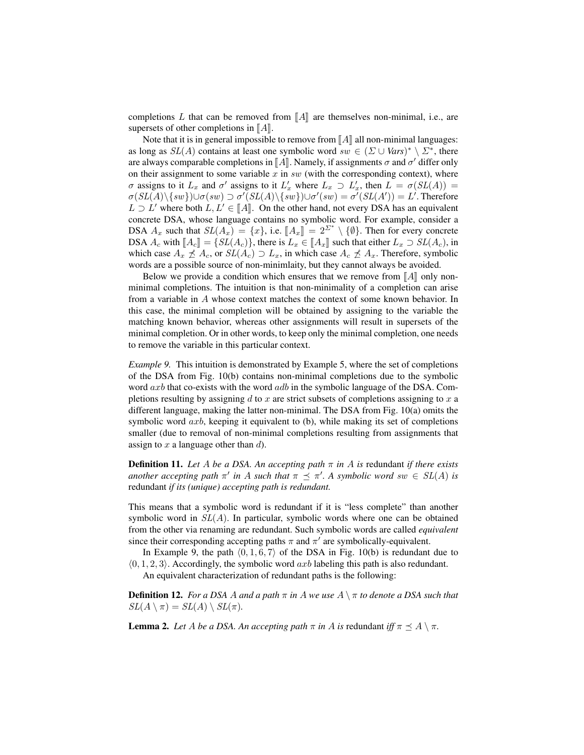completions L that can be removed from  $\llbracket A \rrbracket$  are themselves non-minimal, i.e., are supersets of other completions in  $\llbracket A \rrbracket$ .

Note that it is in general impossible to remove from  $\llbracket A \rrbracket$  all non-minimal languages: as long as  $SL(A)$  contains at least one symbolic word  $sw \in (\Sigma \cup Vars)^* \setminus \Sigma^*$ , there are always comparable completions in  $\llbracket A \rrbracket$ . Namely, if assignments  $\sigma$  and  $\sigma'$  differ only<br>on their assignment to some variable  $\sigma$  in equal with the corresponding context), where on their assignment to some variable  $x$  in  $sw$  (with the corresponding context), where  $σ$  assigns to it  $L_x$  and  $σ'$  assigns to it  $L'_x$  where  $L_x ⊃ L'_x$ , then  $L = σ(SL(A))$  =  $\sigma(SL(A) \setminus \{sw\}) \cup \sigma(sw) \supset \sigma'(SL(A) \setminus \{sw\}) \cup \sigma'(sw) = \sigma'(SL(A')) = L'.$  Therefore  $L \supset L'$  where both  $L, L' \in \llbracket A \rrbracket$ . On the other hand, not every DSA has an equivalent<br>concrete DSA, whose language contains no symbolic word. For example, consider a concrete DSA, whose language contains no symbolic word. For example, consider a DSA  $A_x$  such that  $SL(A_x) = \{x\}$ , i.e.  $[A_x] = 2^{\Sigma^*} \setminus \{\emptyset\}$ . Then for every concrete  $DSA \subseteq A$  with  $[A, \mathbb{R}] = \{SI(A)\}$  there is  $I \subseteq \mathbb{R}A$ . I such that either  $I \subseteq S(I(A))$  in DSA  $A_c$  with  $\llbracket A_c \rrbracket = \{ SL(A_c) \}$ , there is  $L_x \in \llbracket A_x \rrbracket$  such that either  $L_x \supset SL(A_c)$ , in which case  $A_x \npreceq A_c$ , or  $SL(A_c) \supset L_x$ , in which case  $A_c \npreceq A_x$ . Therefore, symbolic words are a possible source of non-minimlaity, but they cannot always be avoided.

Below we provide a condition which ensures that we remove from  $\llbracket A \rrbracket$  only nonminimal completions. The intuition is that non-minimality of a completion can arise from a variable in A whose context matches the context of some known behavior. In this case, the minimal completion will be obtained by assigning to the variable the matching known behavior, whereas other assignments will result in supersets of the minimal completion. Or in other words, to keep only the minimal completion, one needs to remove the variable in this particular context.

*Example 9.* This intuition is demonstrated by Example 5, where the set of completions of the DSA from Fig. 10(b) contains non-minimal completions due to the symbolic word  $axb$  that co-exists with the word  $adb$  in the symbolic language of the DSA. Completions resulting by assigning  $d$  to  $x$  are strict subsets of completions assigning to  $x$  a different language, making the latter non-minimal. The DSA from Fig. 10(a) omits the symbolic word  $axb$ , keeping it equivalent to (b), while making its set of completions smaller (due to removal of non-minimal completions resulting from assignments that assign to  $x$  a language other than  $d$ ).

**Definition 11.** Let A be a DSA. An accepting path  $\pi$  in A is redundant if there exists *another accepting path*  $\pi'$  *in* A *such that*  $\pi \preceq \pi'$ . A *symbolic word*  $sw \in SL(A)$  *is* redundant *if its (unique) accepting path is redundant.*

This means that a symbolic word is redundant if it is "less complete" than another symbolic word in  $SL(A)$ . In particular, symbolic words where one can be obtained from the other via renaming are redundant. Such symbolic words are called *equivalent* since their corresponding accepting paths  $\pi$  and  $\pi'$  are symbolically-equivalent.

In Example 9, the path  $(0, 1, 6, 7)$  of the DSA in Fig. 10(b) is redundant due to  $\langle 0, 1, 2, 3 \rangle$ . Accordingly, the symbolic word axb labeling this path is also redundant.

An equivalent characterization of redundant paths is the following:

**Definition 12.** *For a DSA A and a path*  $\pi$  *in A we use*  $A \setminus \pi$  *to denote a DSA such that*  $SL(A \setminus \pi) = SL(A) \setminus SL(\pi)$ .

**Lemma 2.** *Let* A *be a DSA. An accepting path*  $\pi$  *in* A *is* redundant *iff*  $\pi \leq A \setminus \pi$ .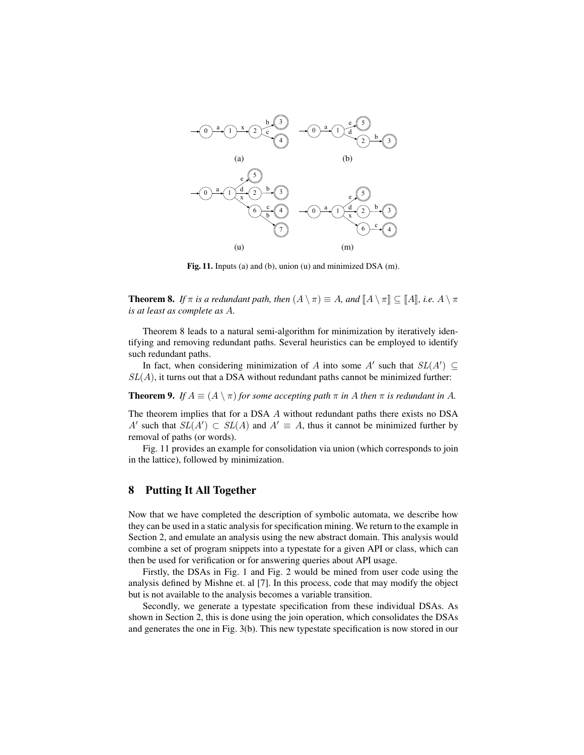

Fig. 11. Inputs (a) and (b), union (u) and minimized DSA (m).

**Theorem 8.** *If*  $\pi$  *is a redundant path, then*  $(A \setminus \pi) \equiv A$ *, and*  $[A \setminus \pi] \subseteq [A]$ *, i.e.*  $A \setminus \pi$ *is at least as complete as* A*.*

Theorem 8 leads to a natural semi-algorithm for minimization by iteratively identifying and removing redundant paths. Several heuristics can be employed to identify such redundant paths.

In fact, when considering minimization of A into some A' such that  $SL(A') \subseteq$  $SL(A)$ , it turns out that a DSA without redundant paths cannot be minimized further:

**Theorem 9.** *If*  $A \equiv (A \setminus \pi)$  *for some accepting path*  $\pi$  *in*  $A$  *then*  $\pi$  *is redundant in*  $A$ *.* 

The theorem implies that for a DSA A without redundant paths there exists no DSA A' such that  $SL(A') \subset SL(A)$  and  $A' \equiv A$ , thus it cannot be minimized further by removal of paths (or words).

Fig. 11 provides an example for consolidation via union (which corresponds to join in the lattice), followed by minimization.

## 8 Putting It All Together

Now that we have completed the description of symbolic automata, we describe how they can be used in a static analysis for specification mining. We return to the example in Section 2, and emulate an analysis using the new abstract domain. This analysis would combine a set of program snippets into a typestate for a given API or class, which can then be used for verification or for answering queries about API usage.

Firstly, the DSAs in Fig. 1 and Fig. 2 would be mined from user code using the analysis defined by Mishne et. al [7]. In this process, code that may modify the object but is not available to the analysis becomes a variable transition.

Secondly, we generate a typestate specification from these individual DSAs. As shown in Section 2, this is done using the join operation, which consolidates the DSAs and generates the one in Fig. 3(b). This new typestate specification is now stored in our